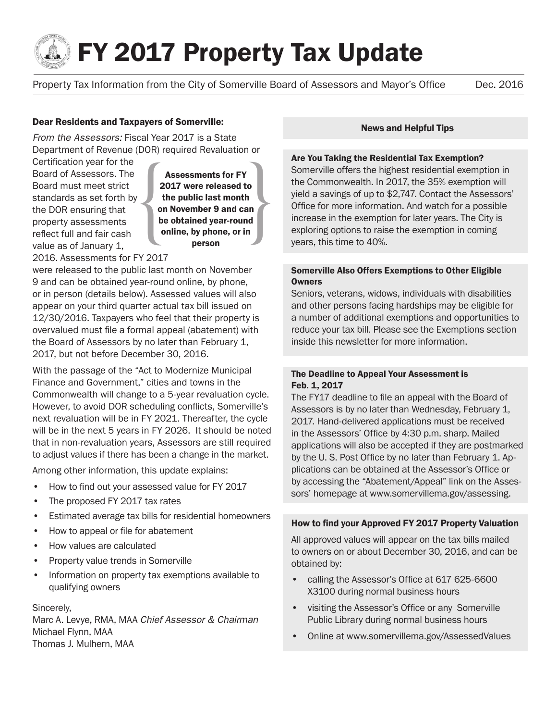

# **Solution FY 2017 Property Tax Update**

Property Tax Information from the City of Somerville Board of Assessors and Mayor's Office Dec. 2016

#### Dear Residents and Taxpayers of Somerville:

*From the Assessors:* Fiscal Year 2017 is a State Department of Revenue (DOR) required Revaluation or

Certification year for the Board of Assessors. The Board must meet strict standards as set forth by the DOR ensuring that property assessments reflect full and fair cash value as of January 1,

Assessments for FY<br>
2017 were released to<br>
the public last month<br>
on November 9 and can<br>
be obtained year-round<br>
online, by phone, or in<br>
person 2017 were released to the public last month on November 9 and can be obtained year-round online, by phone, or in person

2016. Assessments for FY 2017

were released to the public last month on November 9 and can be obtained year-round online, by phone, or in person (details below). Assessed values will also appear on your third quarter actual tax bill issued on 12/30/2016. Taxpayers who feel that their property is overvalued must file a formal appeal (abatement) with the Board of Assessors by no later than February 1, 2017, but not before December 30, 2016.

With the passage of the "Act to Modernize Municipal Finance and Government," cities and towns in the Commonwealth will change to a 5-year revaluation cycle. However, to avoid DOR scheduling conflicts, Somerville's next revaluation will be in FY 2021. Thereafter, the cycle will be in the next 5 years in FY 2026. It should be noted that in non-revaluation years, Assessors are still required to adjust values if there has been a change in the market.

Among other information, this update explains:

- How to find out your assessed value for FY 2017
- The proposed FY 2017 tax rates
- Estimated average tax bills for residential homeowners
- How to appeal or file for abatement
- How values are calculated
- Property value trends in Somerville
- Information on property tax exemptions available to qualifying owners

#### Sincerely,

Marc A. Levye, RMA, MAA *Chief Assessor & Chairman* Michael Flynn, MAA Thomas J. Mulhern, MAA

#### News and Helpful Tips

#### Are You Taking the Residential Tax Exemption?

Somerville offers the highest residential exemption in the Commonwealth. In 2017, the 35% exemption will yield a savings of up to \$2,747. Contact the Assessors' Office for more information. And watch for a possible increase in the exemption for later years. The City is exploring options to raise the exemption in coming years, this time to 40%.

#### Somerville Also Offers Exemptions to Other Eligible **Owners**

Seniors, veterans, widows, individuals with disabilities and other persons facing hardships may be eligible for a number of additional exemptions and opportunities to reduce your tax bill. Please see the Exemptions section inside this newsletter for more information.

#### The Deadline to Appeal Your Assessment is Feb. 1, 2017

The FY17 deadline to file an appeal with the Board of Assessors is by no later than Wednesday, February 1, 2017. Hand-delivered applications must be received in the Assessors' Office by 4:30 p.m. sharp. Mailed applications will also be accepted if they are postmarked by the U. S. Post Office by no later than February 1. Applications can be obtained at the Assessor's Office or by accessing the "Abatement/Appeal" link on the Assessors' homepage at www.somervillema.gov/assessing.

#### How to find your Approved FY 2017 Property Valuation

All approved values will appear on the tax bills mailed to owners on or about December 30, 2016, and can be obtained by:

- calling the Assessor's Office at 617 625-6600 X3100 during normal business hours
- visiting the Assessor's Office or any Somerville Public Library during normal business hours
- Online at www.somervillema.gov/AssessedValues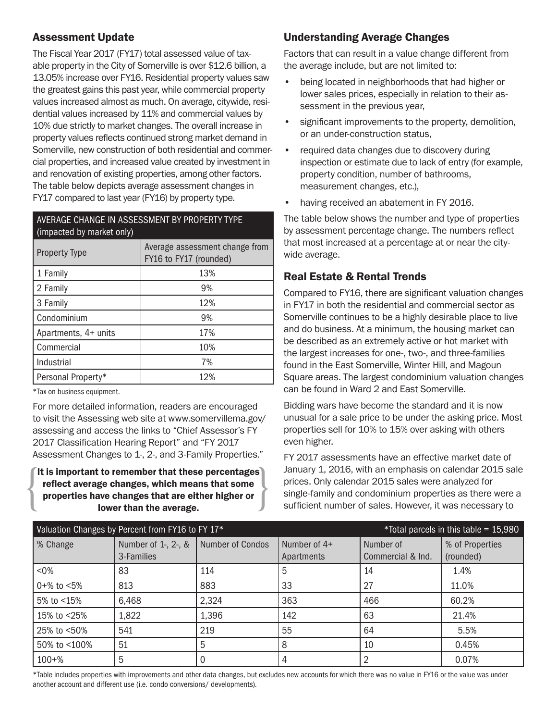## Assessment Update

The Fiscal Year 2017 (FY17) total assessed value of taxable property in the City of Somerville is over \$12.6 billion, a 13.05% increase over FY16. Residential property values saw the greatest gains this past year, while commercial property values increased almost as much. On average, citywide, residential values increased by 11% and commercial values by 10% due strictly to market changes. The overall increase in property values reflects continued strong market demand in Somerville, new construction of both residential and commercial properties, and increased value created by investment in and renovation of existing properties, among other factors. The table below depicts average assessment changes in FY17 compared to last year (FY16) by property type.

### AVERAGE CHANGE IN ASSESSMENT BY PROPERTY TYPE (impacted by market only)

| <b>Property Type</b> | Average assessment change from<br>FY16 to FY17 (rounded) |
|----------------------|----------------------------------------------------------|
| 1 Family             | 13%                                                      |
| 2 Family             | 9%                                                       |
| 3 Family             | 12%                                                      |
| Condominium          | 9%                                                       |
| Apartments, 4+ units | 17%                                                      |
| Commercial           | 10%                                                      |
| Industrial           | 7%                                                       |
| Personal Property*   | 12%                                                      |

\*Tax on business equipment.

For more detailed information, readers are encouraged to visit the Assessing web site at www.somervillema.gov/ assessing and access the links to "Chief Assessor's FY 2017 Classification Hearing Report" and "FY 2017 Assessment Changes to 1-, 2-, and 3-Family Properties."

### It is important to remember that these percentages<br>reflect average changes, which means that some<br>properties have changes that are either higher or<br>lower than the average. reflect average changes, which means that some properties have changes that are either higher or lower than the average.

## Understanding Average Changes

Factors that can result in a value change different from the average include, but are not limited to:

- being located in neighborhoods that had higher or lower sales prices, especially in relation to their assessment in the previous year,
- significant improvements to the property, demolition, or an under-construction status,
- required data changes due to discovery during inspection or estimate due to lack of entry (for example, property condition, number of bathrooms, measurement changes, etc.),
- having received an abatement in FY 2016.

The table below shows the number and type of properties by assessment percentage change. The numbers reflect that most increased at a percentage at or near the citywide average.

## Real Estate & Rental Trends

Compared to FY16, there are significant valuation changes in FY17 in both the residential and commercial sector as Somerville continues to be a highly desirable place to live and do business. At a minimum, the housing market can be described as an extremely active or hot market with the largest increases for one-, two-, and three-families found in the East Somerville, Winter Hill, and Magoun Square areas. The largest condominium valuation changes can be found in Ward 2 and East Somerville.

Bidding wars have become the standard and it is now unusual for a sale price to be under the asking price. Most properties sell for 10% to 15% over asking with others even higher.

FY 2017 assessments have an effective market date of January 1, 2016, with an emphasis on calendar 2015 sale prices. Only calendar 2015 sales were analyzed for single-family and condominium properties as there were a sufficient number of sales. However, it was necessary to

| Valuation Changes by Percent from FY16 to FY 17* |                                   |                  |                              | *Total parcels in this table = $15,980$ |                              |
|--------------------------------------------------|-----------------------------------|------------------|------------------------------|-----------------------------------------|------------------------------|
| % Change                                         | Number of 1-, 2-, &<br>3-Families | Number of Condos | Number of $4+$<br>Apartments | Number of<br>Commercial & Ind.          | % of Properties<br>(rounded) |
| $< 0\%$                                          | 83                                | 114              | 5                            | 14                                      | 1.4%                         |
| $0 + \%$ to $\leq 5\%$                           | 813                               | 883              | 33                           | 27                                      | 11.0%                        |
| 5% to $<$ 15%                                    | 6,468                             | 2,324            | 363                          | 466                                     | 60.2%                        |
| 15% to <25%                                      | 1,822                             | 1,396            | 142                          | 63                                      | 21.4%                        |
| 25% to <50%                                      | 541                               | 219              | 55                           | 64                                      | 5.5%                         |
| 50% to <100%                                     | 51                                | 5                | 8                            | 10                                      | 0.45%                        |
| $100 + %$                                        | 5                                 |                  | 4                            |                                         | 0.07%                        |

\*Table includes properties with improvements and other data changes, but excludes new accounts for which there was no value in FY16 or the value was under another account and different use (i.e. condo conversions/ developments).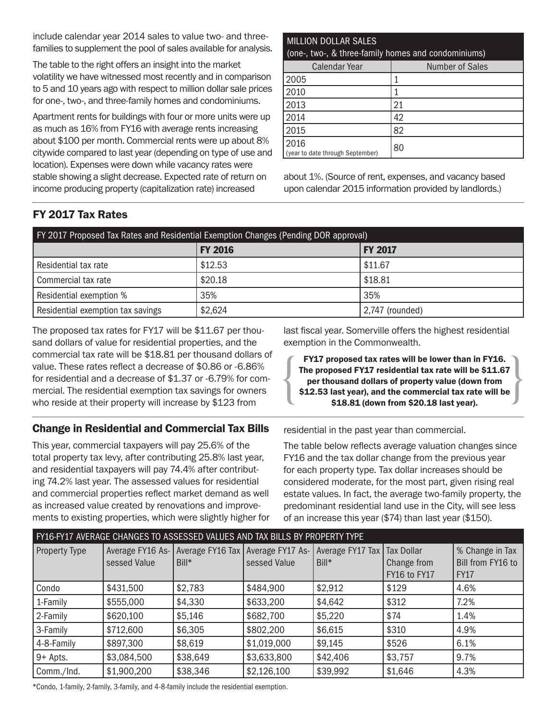include calendar year 2014 sales to value two- and threefamilies to supplement the pool of sales available for analysis.

The table to the right offers an insight into the market volatility we have witnessed most recently and in comparison to 5 and 10 years ago with respect to million dollar sale prices for one-, two-, and three-family homes and condominiums.

Apartment rents for buildings with four or more units were up as much as 16% from FY16 with average rents increasing about \$100 per month. Commercial rents were up about 8% citywide compared to last year (depending on type of use and location). Expenses were down while vacancy rates were stable showing a slight decrease. Expected rate of return on income producing property (capitalization rate) increased

## MILLION DOLLAR SALES (one-, two-, & three-family homes and condominiums) Calendar Year **Number of Sales**  $2005$   $1$

| 21 |
|----|
| 42 |
| 82 |
| 80 |
|    |

about 1%. (Source of rent, expenses, and vacancy based upon calendar 2015 information provided by landlords.)

## FY 2017 Tax Rates

| FY 2017 Proposed Tax Rates and Residential Exemption Changes (Pending DOR approval) |                |                 |  |
|-------------------------------------------------------------------------------------|----------------|-----------------|--|
|                                                                                     | <b>FY 2016</b> | <b>FY 2017</b>  |  |
| Residential tax rate                                                                | \$12.53        | \$11.67         |  |
| Commercial tax rate                                                                 | \$20.18        | \$18.81         |  |
| Residential exemption %                                                             | 35%            | 35%             |  |
| Residential exemption tax savings                                                   | \$2,624        | 2,747 (rounded) |  |

The proposed tax rates for FY17 will be \$11.67 per thousand dollars of value for residential properties, and the commercial tax rate will be \$18.81 per thousand dollars of value. These rates reflect a decrease of \$0.86 or -6.86% for residential and a decrease of \$1.37 or -6.79% for commercial. The residential exemption tax savings for owners who reside at their property will increase by \$123 from

## Change in Residential and Commercial Tax Bills

This year, commercial taxpayers will pay 25.6% of the total property tax levy, after contributing 25.8% last year, and residential taxpayers will pay 74.4% after contributing 74.2% last year. The assessed values for residential and commercial properties reflect market demand as well as increased value created by renovations and improvements to existing properties, which were slightly higher for last fiscal year. Somerville offers the highest residential exemption in the Commonwealth.

FY17 proposed tax rates will be lower than in FY16.<br>The proposed FY17 residential tax rate will be \$11.67<br>per thousand dollars of property value (down from<br>\$12.53 last year), and the commercial tax rate will be<br>\$18.81 (dow The proposed FY17 residential tax rate will be \$11.67 per thousand dollars of property value (down from \$12.53 last year), and the commercial tax rate will be \$18.81 (down from \$20.18 last year).

residential in the past year than commercial.

The table below reflects average valuation changes since FY16 and the tax dollar change from the previous year for each property type. Tax dollar increases should be considered moderate, for the most part, given rising real estate values. In fact, the average two-family property, the predominant residential land use in the City, will see less of an increase this year (\$74) than last year (\$150).

| FY16-FY17 AVERAGE CHANGES TO ASSESSED VALUES AND TAX BILLS BY PROPERTY TYPE |              |          |                                                                                      |          |              |                   |
|-----------------------------------------------------------------------------|--------------|----------|--------------------------------------------------------------------------------------|----------|--------------|-------------------|
| <b>Property Type</b>                                                        |              |          | Average FY16 As- Average FY16 Tax   Average FY17 As-   Average FY17 Tax   Tax Dollar |          |              | % Change in Tax   |
|                                                                             | sessed Value | Bill*    | sessed Value                                                                         | Bill*    | Change from  | Bill from FY16 to |
|                                                                             |              |          |                                                                                      |          | FY16 to FY17 | <b>FY17</b>       |
| Condo                                                                       | \$431,500    | \$2,783  | \$484,900                                                                            | \$2,912  | \$129        | 4.6%              |
| 1-Family                                                                    | \$555,000    | \$4,330  | \$633,200                                                                            | \$4,642  | \$312        | 7.2%              |
| 2-Family                                                                    | \$620,100    | \$5,146  | \$682,700                                                                            | \$5,220  | \$74         | 1.4%              |
| 3-Family                                                                    | \$712,600    | \$6,305  | \$802,200                                                                            | \$6,615  | \$310        | 4.9%              |
| 4-8-Family                                                                  | \$897,300    | \$8,619  | \$1,019,000                                                                          | \$9,145  | \$526        | 6.1%              |
| 9+ Apts.                                                                    | \$3,084,500  | \$38,649 | \$3,633,800                                                                          | \$42,406 | \$3,757      | 9.7%              |
| Comm./Ind.                                                                  | \$1,900,200  | \$38,346 | \$2,126,100                                                                          | \$39,992 | \$1,646      | 4.3%              |

\*Condo, 1-family, 2-family, 3-family, and 4-8-family include the residential exemption.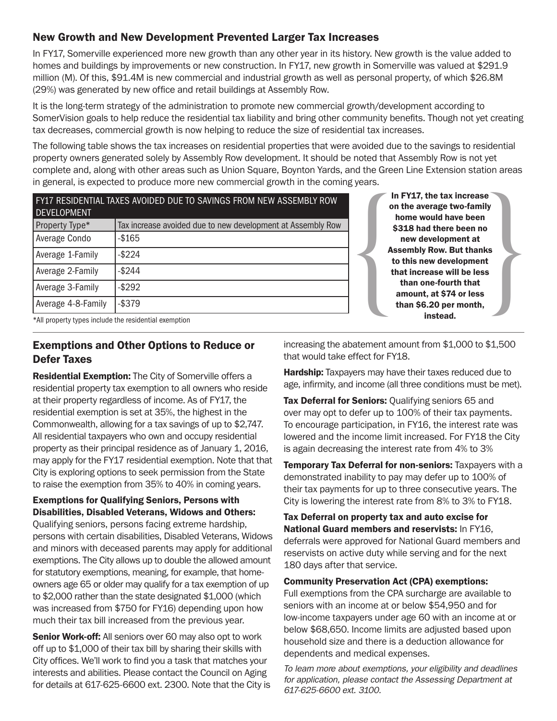## New Growth and New Development Prevented Larger Tax Increases

In FY17, Somerville experienced more new growth than any other year in its history. New growth is the value added to homes and buildings by improvements or new construction. In FY17, new growth in Somerville was valued at \$291.9 million (M). Of this, \$91.4M is new commercial and industrial growth as well as personal property, of which \$26.8M (29%) was generated by new office and retail buildings at Assembly Row.

It is the long-term strategy of the administration to promote new commercial growth/development according to SomerVision goals to help reduce the residential tax liability and bring other community benefits. Though not yet creating tax decreases, commercial growth is now helping to reduce the size of residential tax increases.

The following table shows the tax increases on residential properties that were avoided due to the savings to residential property owners generated solely by Assembly Row development. It should be noted that Assembly Row is not yet complete and, along with other areas such as Union Square, Boynton Yards, and the Green Line Extension station areas in general, is expected to produce more new commercial growth in the coming years.

| FY17 RESIDENTIAL TAXES AVOIDED DUE TO SAVINGS FROM NEW ASSEMBLY ROW<br><b>DEVELOPMENT</b> |                                                             |  |
|-------------------------------------------------------------------------------------------|-------------------------------------------------------------|--|
| Property Type*                                                                            | Tax increase avoided due to new development at Assembly Row |  |
| Average Condo                                                                             | $-$165$                                                     |  |
| Average 1-Family                                                                          | $-$ \$224                                                   |  |
| Average 2-Family                                                                          | $-$ \$244                                                   |  |
| Average 3-Family                                                                          | $-$ \$292                                                   |  |
| Average 4-8-Family                                                                        | $-$ \$379                                                   |  |

In FY17, the tax increase<br>
on the average two-family<br>
home would have been<br>
\$318 had there been no<br>
new development at<br>
Assembly Row. But thanks<br>
to this new development<br>
that increase will be less<br>
than one-fourth that<br>
a on the average two-family home would have been \$318 had there been no new development at Assembly Row. But thanks to this new development that increase will be less than one-fourth that amount, at \$74 or less than \$6.20 per month, instead.

\*All property types include the residential exemption

## Exemptions and Other Options to Reduce or Defer Taxes

Residential Exemption: The City of Somerville offers a residential property tax exemption to all owners who reside at their property regardless of income. As of FY17, the residential exemption is set at 35%, the highest in the Commonwealth, allowing for a tax savings of up to \$2,747. All residential taxpayers who own and occupy residential property as their principal residence as of January 1, 2016, may apply for the FY17 residential exemption. Note that that City is exploring options to seek permission from the State to raise the exemption from 35% to 40% in coming years.

## Exemptions for Qualifying Seniors, Persons with Disabilities, Disabled Veterans, Widows and Others:

Qualifying seniors, persons facing extreme hardship, persons with certain disabilities, Disabled Veterans, Widows and minors with deceased parents may apply for additional exemptions. The City allows up to double the allowed amount for statutory exemptions, meaning, for example, that homeowners age 65 or older may qualify for a tax exemption of up to \$2,000 rather than the state designated \$1,000 (which was increased from \$750 for FY16) depending upon how much their tax bill increased from the previous year.

**Senior Work-off:** All seniors over 60 may also opt to work off up to \$1,000 of their tax bill by sharing their skills with City offices. We'll work to find you a task that matches your interests and abilities. Please contact the Council on Aging for details at 617-625-6600 ext. 2300. Note that the City is increasing the abatement amount from \$1,000 to \$1,500 that would take effect for FY18.

**Hardship:** Taxpayers may have their taxes reduced due to age, infirmity, and income (all three conditions must be met).

Tax Deferral for Seniors: Qualifying seniors 65 and over may opt to defer up to 100% of their tax payments. To encourage participation, in FY16, the interest rate was lowered and the income limit increased. For FY18 the City is again decreasing the interest rate from 4% to 3%

Temporary Tax Deferral for non-seniors: Taxpayers with a demonstrated inability to pay may defer up to 100% of their tax payments for up to three consecutive years. The City is lowering the interest rate from 8% to 3% to FY18.

Tax Deferral on property tax and auto excise for National Guard members and reservists: In FY16, deferrals were approved for National Guard members and reservists on active duty while serving and for the next 180 days after that service.

Community Preservation Act (CPA) exemptions:

Full exemptions from the CPA surcharge are available to seniors with an income at or below \$54,950 and for low-income taxpayers under age 60 with an income at or below \$68,650. Income limits are adjusted based upon household size and there is a deduction allowance for dependents and medical expenses.

*To learn more about exemptions, your eligibility and deadlines for application, please contact the Assessing Department at 617-625-6600 ext. 3100.*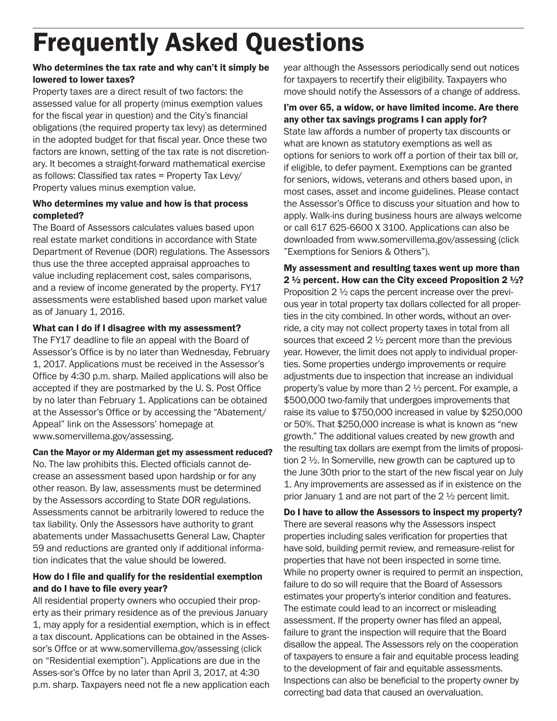# Frequently Asked Questions

## Who determines the tax rate and why can't it simply be lowered to lower taxes?

Property taxes are a direct result of two factors: the assessed value for all property (minus exemption values for the fiscal year in question) and the City's financial obligations (the required property tax levy) as determined in the adopted budget for that fiscal year. Once these two factors are known, setting of the tax rate is not discretionary. It becomes a straight-forward mathematical exercise as follows: Classified tax rates = Property Tax Levy/ Property values minus exemption value.

### Who determines my value and how is that process completed?

The Board of Assessors calculates values based upon real estate market conditions in accordance with State Department of Revenue (DOR) regulations. The Assessors thus use the three accepted appraisal approaches to value including replacement cost, sales comparisons, and a review of income generated by the property. FY17 assessments were established based upon market value as of January 1, 2016.

## What can I do if I disagree with my assessment?

The FY17 deadline to file an appeal with the Board of Assessor's Office is by no later than Wednesday, February 1, 2017. Applications must be received in the Assessor's Office by 4:30 p.m. sharp. Mailed applications will also be accepted if they are postmarked by the U. S. Post Office by no later than February 1. Applications can be obtained at the Assessor's Office or by accessing the "Abatement/ Appeal" link on the Assessors' homepage at www.somervillema.gov/assessing.

### Can the Mayor or my Alderman get my assessment reduced?

No. The law prohibits this. Elected officials cannot decrease an assessment based upon hardship or for any other reason. By law, assessments must be determined by the Assessors according to State DOR regulations. Assessments cannot be arbitrarily lowered to reduce the tax liability. Only the Assessors have authority to grant abatements under Massachusetts General Law, Chapter 59 and reductions are granted only if additional information indicates that the value should be lowered.

### How do I file and qualify for the residential exemption and do I have to file every year?

All residential property owners who occupied their property as their primary residence as of the previous January 1, may apply for a residential exemption, which is in effect a tax discount. Applications can be obtained in the Assessor's Offce or at www.somervillema.gov/assessing (click on "Residential exemption"). Applications are due in the Asses-sor's Offce by no later than April 3, 2017, at 4:30 p.m. sharp. Taxpayers need not fle a new application each

year although the Assessors periodically send out notices for taxpayers to recertify their eligibility. Taxpayers who move should notify the Assessors of a change of address.

### I'm over 65, a widow, or have limited income. Are there any other tax savings programs I can apply for? State law affords a number of property tax discounts or what are known as statutory exemptions as well as options for seniors to work off a portion of their tax bill or, if eligible, to defer payment. Exemptions can be granted for seniors, widows, veterans and others based upon, in most cases, asset and income guidelines. Please contact the Assessor's Office to discuss your situation and how to apply. Walk-ins during business hours are always welcome or call 617 625-6600 X 3100. Applications can also be downloaded from www.somervillema.gov/assessing (click "Exemptions for Seniors & Others").

My assessment and resulting taxes went up more than 2  $\frac{1}{2}$  percent. How can the City exceed Proposition 2  $\frac{1}{2}$ ? Proposition 2 ½ caps the percent increase over the previous year in total property tax dollars collected for all properties in the city combined. In other words, without an override, a city may not collect property taxes in total from all sources that exceed 2 ½ percent more than the previous year. However, the limit does not apply to individual properties. Some properties undergo improvements or require adjustments due to inspection that increase an individual property's value by more than 2 ½ percent. For example, a \$500,000 two-family that undergoes improvements that raise its value to \$750,000 increased in value by \$250,000 or 50%. That \$250,000 increase is what is known as "new growth." The additional values created by new growth and the resulting tax dollars are exempt from the limits of proposition 2 ½. In Somerville, new growth can be captured up to the June 30th prior to the start of the new fiscal year on July 1. Any improvements are assessed as if in existence on the prior January 1 and are not part of the  $2\frac{1}{2}$  percent limit.

# Do I have to allow the Assessors to inspect my property?

There are several reasons why the Assessors inspect properties including sales verification for properties that have sold, building permit review, and remeasure-relist for properties that have not been inspected in some time. While no property owner is required to permit an inspection, failure to do so will require that the Board of Assessors estimates your property's interior condition and features. The estimate could lead to an incorrect or misleading assessment. If the property owner has filed an appeal, failure to grant the inspection will require that the Board disallow the appeal. The Assessors rely on the cooperation of taxpayers to ensure a fair and equitable process leading to the development of fair and equitable assessments. Inspections can also be beneficial to the property owner by correcting bad data that caused an overvaluation.